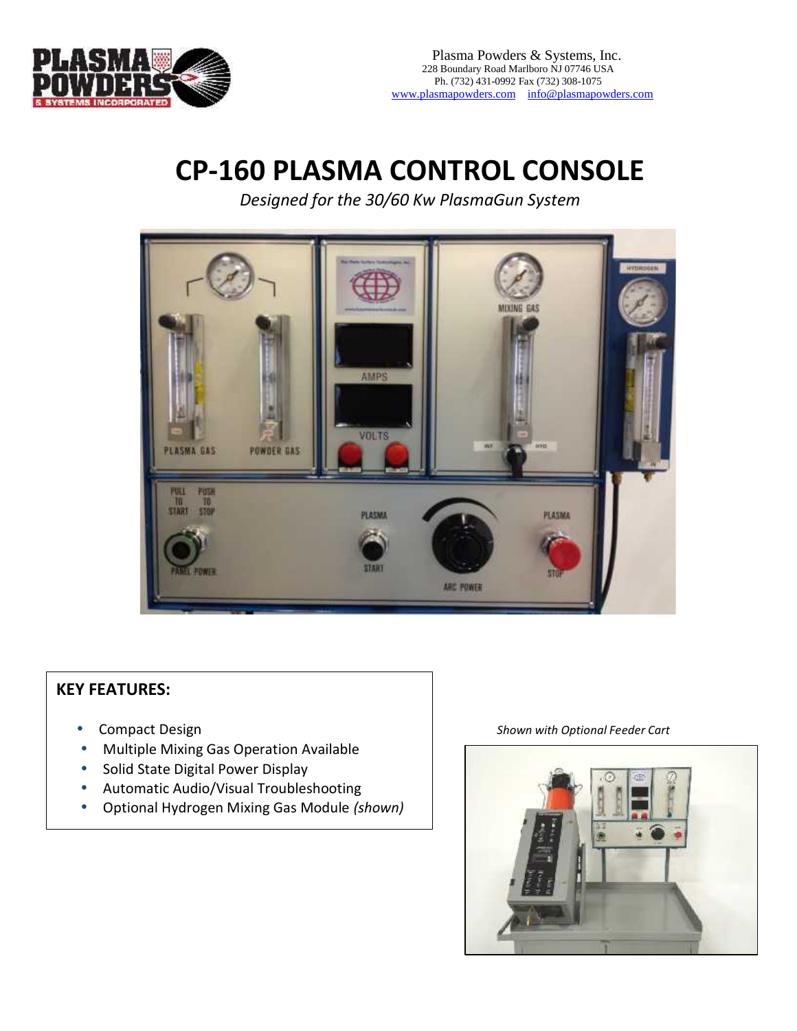Plasma Powders & Systems, Inc. 228 Boundary Road Marlboro NJ 07746 USA Ph. (732) 4340992 Fax (732) 308075 [www.plasmapowders.com](http://www.plasmapowders.com/)i[nfo@plasmapowders.com](mailto:info@plasmapowders.com)

## CP-160 P ASMA C OROL CSODINE

Designe of othe3060KwPlasmaGunSyemt

## KEY FURESS

- 
- · MultipleMixing Ga SperationAvaable
- · SolidStateDigtalPowerDisplay
- · Au tomaticAu do/V sua IT oubles hooting
- $\cdot$  O ptional Hy do gen Mixing G alsold de (show)n

 $\cdot$  CompactDesign ShownwithOption based of  $\mathbf s$